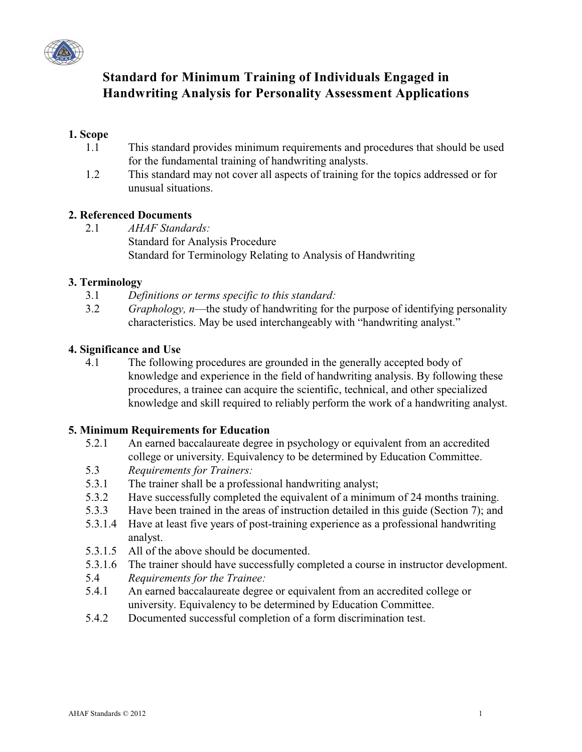

# **Standard for Minimum Training of Individuals Engaged in Handwriting Analysis for Personality Assessment Applications**

## **1. Scope**

- 1.1 This standard provides minimum requirements and procedures that should be used for the fundamental training of handwriting analysts.
- 1.2 This standard may not cover all aspects of training for the topics addressed or for unusual situations.

#### **2. Referenced Documents**

2.1 *AHAF Standards:* Standard for Analysis Procedure Standard for Terminology Relating to Analysis of Handwriting

#### **3. Terminology**

- 3.1 *Definitions or terms specific to this standard:*
- 3.2 *Graphology, n––*the study of handwriting for the purpose of identifying personality characteristics. May be used interchangeably with "handwriting analyst."

#### **4. Significance and Use**

4.1 The following procedures are grounded in the generally accepted body of knowledge and experience in the field of handwriting analysis. By following these procedures, a trainee can acquire the scientific, technical, and other specialized knowledge and skill required to reliably perform the work of a handwriting analyst.

#### **5. Minimum Requirements for Education**

- 5.2.1 An earned baccalaureate degree in psychology or equivalent from an accredited college or university. Equivalency to be determined by Education Committee.
- 5.3 *Requirements for Trainers:*
- 5.3.1 The trainer shall be a professional handwriting analyst;
- 5.3.2 Have successfully completed the equivalent of a minimum of 24 months training.
- 5.3.3 Have been trained in the areas of instruction detailed in this guide (Section 7); and
- 5.3.1.4 Have at least five years of post-training experience as a professional handwriting analyst.
- 5.3.1.5 All of the above should be documented.
- 5.3.1.6 The trainer should have successfully completed a course in instructor development.
- 5.4 *Requirements for the Trainee:*
- 5.4.1 An earned baccalaureate degree or equivalent from an accredited college or university. Equivalency to be determined by Education Committee.
- 5.4.2 Documented successful completion of a form discrimination test.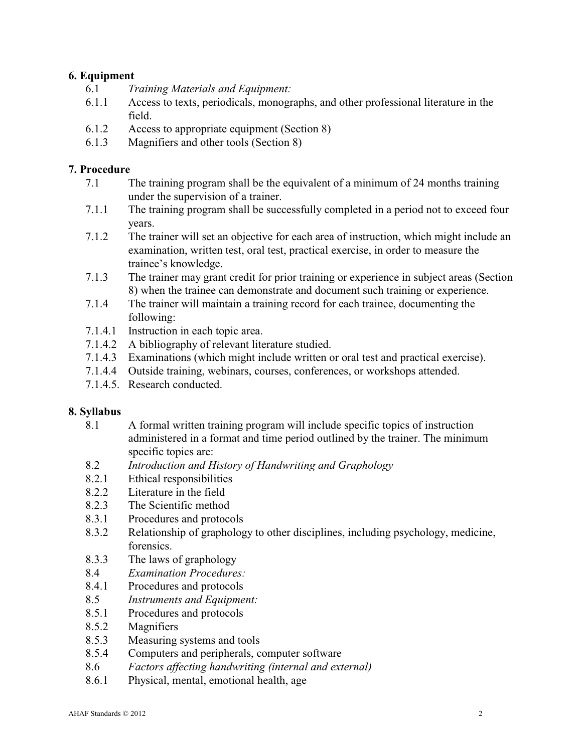# **6. Equipment**

- 6.1 *Training Materials and Equipment:*
- 6.1.1 Access to texts, periodicals, monographs, and other professional literature in the field.
- 6.1.2 Access to appropriate equipment (Section 8)
- 6.1.3 Magnifiers and other tools (Section 8)

## **7. Procedure**

- 7.1 The training program shall be the equivalent of a minimum of 24 months training under the supervision of a trainer.
- 7.1.1 The training program shall be successfully completed in a period not to exceed four years.
- 7.1.2 The trainer will set an objective for each area of instruction, which might include an examination, written test, oral test, practical exercise, in order to measure the trainee's knowledge.
- 7.1.3 The trainer may grant credit for prior training or experience in subject areas (Section 8) when the trainee can demonstrate and document such training or experience.
- 7.1.4 The trainer will maintain a training record for each trainee, documenting the following:
- 7.1.4.1 Instruction in each topic area.
- 7.1.4.2 A bibliography of relevant literature studied.
- 7.1.4.3 Examinations (which might include written or oral test and practical exercise).
- 7.1.4.4 Outside training, webinars, courses, conferences, or workshops attended.
- 7.1.4.5. Research conducted.

#### **8. Syllabus**

- 8.1 A formal written training program will include specific topics of instruction administered in a format and time period outlined by the trainer. The minimum specific topics are:
- 8.2 *Introduction and History of Handwriting and Graphology*
- 8.2.1 Ethical responsibilities
- 8.2.2 Literature in the field
- 8.2.3 The Scientific method
- 8.3.1 Procedures and protocols
- 8.3.2 Relationship of graphology to other disciplines, including psychology, medicine, forensics.
- 8.3.3 The laws of graphology
- 8.4 *Examination Procedures:*
- 8.4.1 Procedures and protocols
- 8.5 *Instruments and Equipment:*
- 8.5.1 Procedures and protocols
- 8.5.2 Magnifiers
- 8.5.3 Measuring systems and tools
- 8.5.4 Computers and peripherals, computer software
- 8.6 *Factors affecting handwriting (internal and external)*
- 8.6.1 Physical, mental, emotional health, age